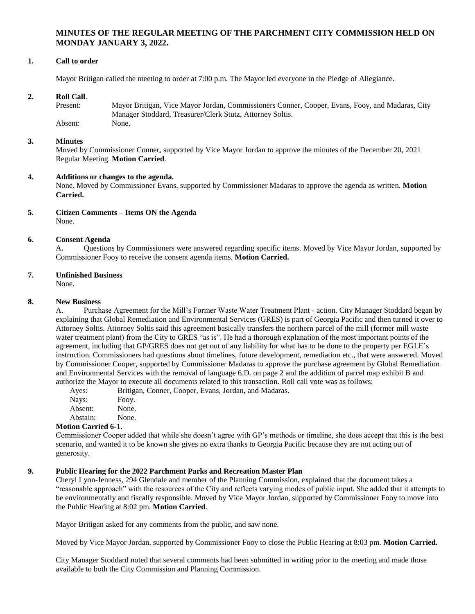# **MINUTES OF THE REGULAR MEETING OF THE PARCHMENT CITY COMMISSION HELD ON MONDAY JANUARY 3, 2022.**

## **1. Call to order**

Mayor Britigan called the meeting to order at 7:00 p.m. The Mayor led everyone in the Pledge of Allegiance.

## **2. Roll Call**.

| Present: | Mayor Britigan, Vice Mayor Jordan, Commissioners Conner, Cooper, Evans, Fooy, and Madaras, City |
|----------|-------------------------------------------------------------------------------------------------|
|          | Manager Stoddard, Treasurer/Clerk Stutz, Attorney Soltis.                                       |
| Absent:  | None.                                                                                           |

## **3. Minutes**

Moved by Commissioner Conner, supported by Vice Mayor Jordan to approve the minutes of the December 20, 2021 Regular Meeting. **Motion Carried**.

## **4. Additions or changes to the agenda.**

None. Moved by Commissioner Evans, supported by Commissioner Madaras to approve the agenda as written. **Motion Carried.**

#### **5. Citizen Comments – Items ON the Agenda** None.

### **6. Consent Agenda**

A**.** Questions by Commissioners were answered regarding specific items. Moved by Vice Mayor Jordan, supported by Commissioner Fooy to receive the consent agenda items. **Motion Carried.**

## **7. Unfinished Business**

None.

### **8. New Business**

A. Purchase Agreement for the Mill's Former Waste Water Treatment Plant - action. City Manager Stoddard began by explaining that Global Remediation and Environmental Services (GRES) is part of Georgia Pacific and then turned it over to Attorney Soltis. Attorney Soltis said this agreement basically transfers the northern parcel of the mill (former mill waste water treatment plant) from the City to GRES "as is". He had a thorough explanation of the most important points of the agreement, including that GP/GRES does not get out of any liability for what has to be done to the property per EGLE's instruction. Commissioners had questions about timelines, future development, remediation etc., that were answered. Moved by Commissioner Cooper, supported by Commissioner Madaras to approve the purchase agreement by Global Remediation and Environmental Services with the removal of language 6.D. on page 2 and the addition of parcel map exhibit B and authorize the Mayor to execute all documents related to this transaction. Roll call vote was as follows:

Ayes: Britigan, Conner, Cooper, Evans, Jordan, and Madaras.

| .        | $\sim$ $\sim$ |
|----------|---------------|
| Nays:    | Fooy.         |
| Absent:  | None.         |
| Abstain: | None.         |

### **Motion Carried 6-1.**

Commissioner Cooper added that while she doesn't agree with GP's methods or timeline, she does accept that this is the best scenario, and wanted it to be known she gives no extra thanks to Georgia Pacific because they are not acting out of generosity.

### **9. Public Hearing for the 2022 Parchment Parks and Recreation Master Plan**

Cheryl Lyon-Jenness, 294 Glendale and member of the Planning Commission, explained that the document takes a "reasonable approach" with the resources of the City and reflects varying modes of public input. She added that it attempts to be environmentally and fiscally responsible. Moved by Vice Mayor Jordan, supported by Commissioner Fooy to move into the Public Hearing at 8:02 pm. **Motion Carried**.

Mayor Britigan asked for any comments from the public, and saw none.

Moved by Vice Mayor Jordan, supported by Commissioner Fooy to close the Public Hearing at 8:03 pm. **Motion Carried.**

City Manager Stoddard noted that several comments had been submitted in writing prior to the meeting and made those available to both the City Commission and Planning Commission.